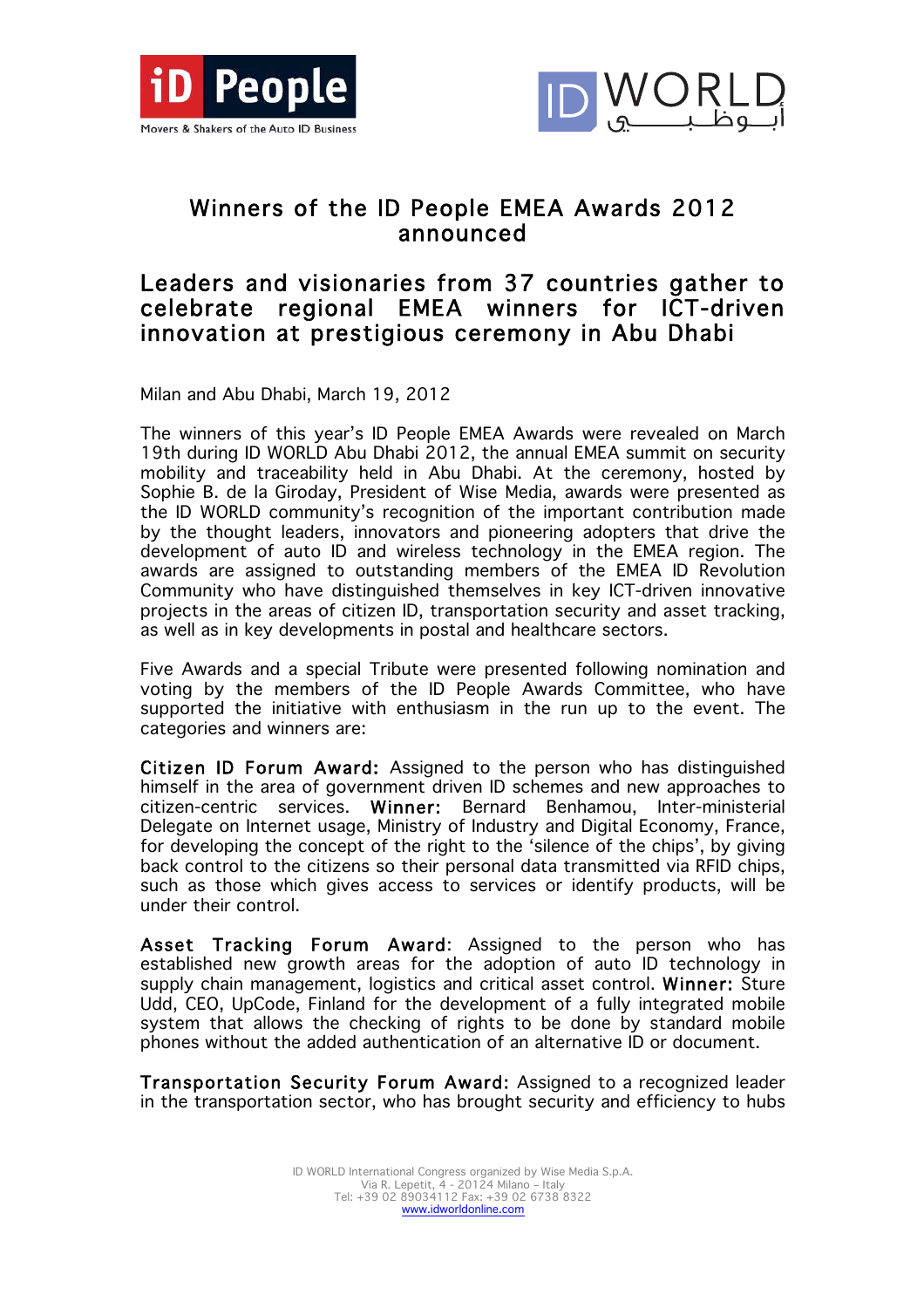



## Winners of the ID People EMEA Awards 2012 announced

## Leaders and visionaries from 37 countries gather to celebrate regional EMEA winners for ICT-driven innovation at prestigious ceremony in Abu Dhabi

Milan and Abu Dhabi, March 19, 2012

The winners of this year's ID People EMEA Awards were revealed on March 19th during ID WORLD Abu Dhabi 2012, the annual EMEA summit on security mobility and traceability held in Abu Dhabi. At the ceremony, hosted by Sophie B. de la Giroday, President of Wise Media, awards were presented as the ID WORLD community's recognition of the important contribution made by the thought leaders, innovators and pioneering adopters that drive the development of auto ID and wireless technology in the EMEA region. The awards are assigned to outstanding members of the EMEA ID Revolution Community who have distinguished themselves in key ICT-driven innovative projects in the areas of citizen ID, transportation security and asset tracking, as well as in key developments in postal and healthcare sectors.

Five Awards and a special Tribute were presented following nomination and voting by the members of the ID People Awards Committee, who have supported the initiative with enthusiasm in the run up to the event. The categories and winners are:

Citizen ID Forum Award: Assigned to the person who has distinguished himself in the area of government driven ID schemes and new approaches to citizen-centric services. Winner: Bernard Benhamou, Inter-ministerial Delegate on Internet usage, Ministry of Industry and Digital Economy, France, for developing the concept of the right to the 'silence of the chips', by giving back control to the citizens so their personal data transmitted via RFID chips, such as those which gives access to services or identify products, will be under their control.

Asset Tracking Forum Award: Assigned to the person who has established new growth areas for the adoption of auto ID technology in supply chain management, logistics and critical asset control. Winner: Sture Udd, CEO, UpCode, Finland for the development of a fully integrated mobile system that allows the checking of rights to be done by standard mobile phones without the added authentication of an alternative ID or document.

Transportation Security Forum Award: Assigned to a recognized leader in the transportation sector, who has brought security and efficiency to hubs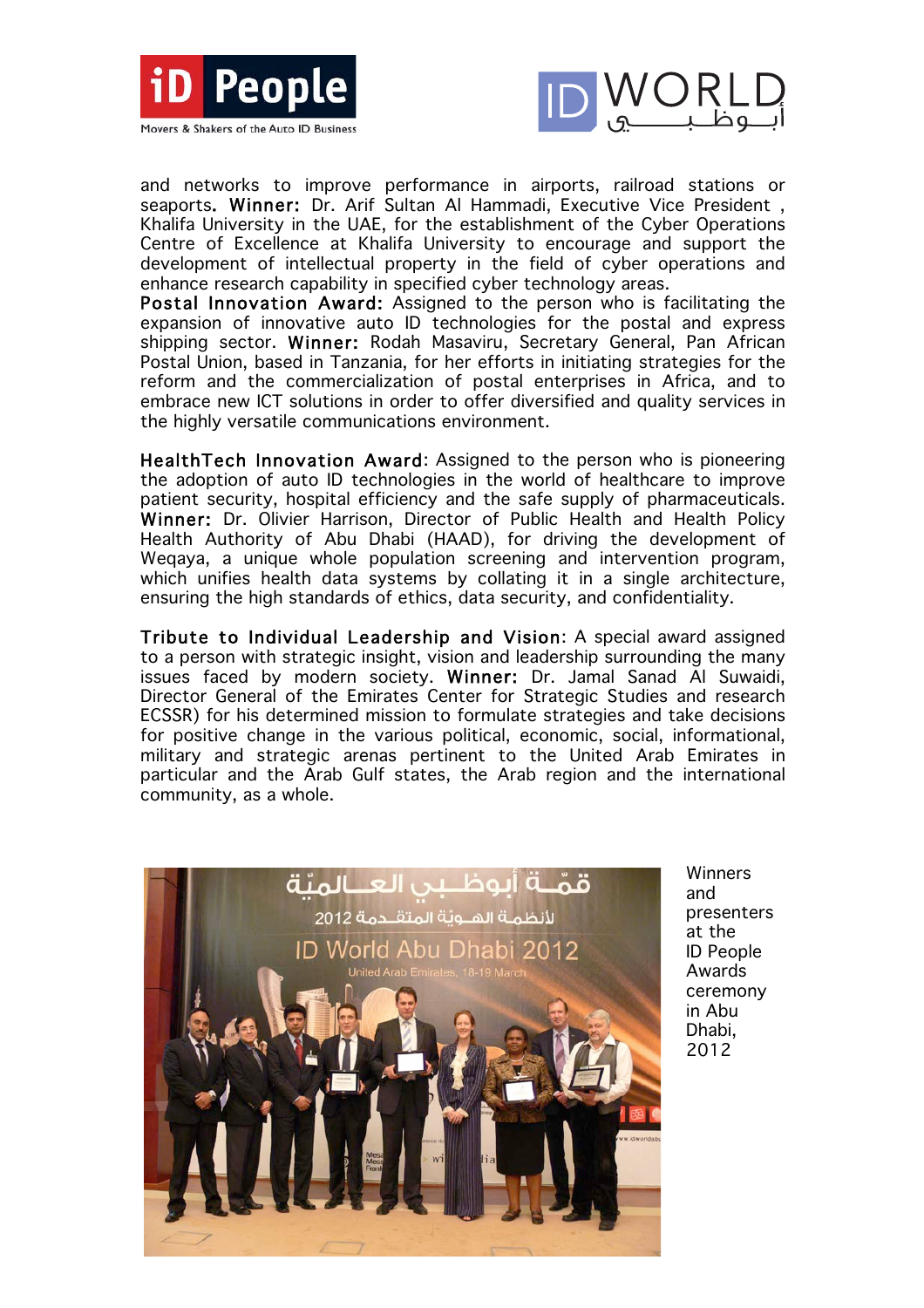



and networks to improve performance in airports, railroad stations or seaports. Winner: Dr. Arif Sultan Al Hammadi, Executive Vice President , Khalifa University in the UAE, for the establishment of the Cyber Operations Centre of Excellence at Khalifa University to encourage and support the development of intellectual property in the field of cyber operations and enhance research capability in specified cyber technology areas.

Postal Innovation Award: Assigned to the person who is facilitating the expansion of innovative auto ID technologies for the postal and express shipping sector. Winner: Rodah Masaviru, Secretary General, Pan African Postal Union, based in Tanzania, for her efforts in initiating strategies for the reform and the commercialization of postal enterprises in Africa, and to embrace new ICT solutions in order to offer diversified and quality services in the highly versatile communications environment.

HealthTech Innovation Award: Assigned to the person who is pioneering the adoption of auto ID technologies in the world of healthcare to improve patient security, hospital efficiency and the safe supply of pharmaceuticals. Winner: Dr. Olivier Harrison, Director of Public Health and Health Policy Health Authority of Abu Dhabi (HAAD), for driving the development of Weqaya, a unique whole population screening and intervention program, which unifies health data systems by collating it in a single architecture, ensuring the high standards of ethics, data security, and confidentiality.

Tribute to Individual Leadership and Vision: A special award assigned to a person with strategic insight, vision and leadership surrounding the many issues faced by modern society. Winner: Dr. Jamal Sanad Al Suwaidi, Director General of the Emirates Center for Strategic Studies and research ECSSR) for his determined mission to formulate strategies and take decisions for positive change in the various political, economic, social, informational, military and strategic arenas pertinent to the United Arab Emirates in particular and the Arab Gulf states, the Arab region and the international community, as a whole.



**Winners** and presenters at the ID People Awards ceremony in Abu Dhabi, 2012